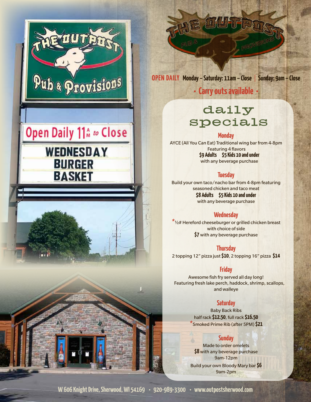





**OPEN DAILY Monday – Saturday: 11am – Close** | **Sunday: 9am – Close**

# **• Carry outs available •**

# daily specials

#### **Monday**

AYCE (All You Can Eat) Traditional wing bar from 4-8pm Featuring 4 flavors **\$9 Adults \$5 Kids 10 and under**  with any beverage purchase

#### **Tuesday**

Build your own taco/nacho bar from 4-8pm featuring seasoned chicken and taco meat **\$8 Adults \$5 Kids 10 and under** with any beverage purchase

#### **Wednesday**

*\**½# Hereford cheeseburger or grilled chicken breast with choice of side **\$7** with any beverage purchase

### **Thursday**

2 topping 12" pizza just **\$10**, 2 topping 16" pizza **\$14**

#### **Friday**

Awesome fish fry served all day long! Featuring fresh lake perch, haddock, shrimp, scallops, and walleye

#### **Saturday**

Baby Back Ribs half rack **\$12.50**, full rack **\$16.50** *\**Smoked Prime Rib (after 5PM) **\$21**

#### **Sunday**

Made to order omelets **\$8** with any beverage purchase 9am-12pm Build your own Bloody Mary bar **\$6** 9am-2pm

**W 606 Knight Drive, Sherwood, WI 54169 • 920-989-3300 • www.outpostsherwood.com**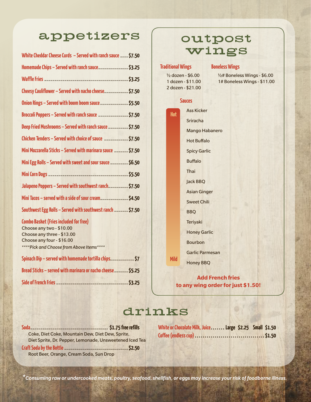# appetizers

| White Cheddar Cheese Curds - Served with ranch sauce  \$7.50 |  |
|--------------------------------------------------------------|--|
| Homemade Chips - Served with ranch sauce\$3.25               |  |
|                                                              |  |
| Cheesy Cauliflower – Served with nacho cheese\$7.50          |  |
| Onion Rings - Served with boom boom sauce\$5.50              |  |
| Broccoli Poppers - Served with ranch sauce \$7.50            |  |
| Deep Fried Mushrooms - Served with ranch sauce \$7.50        |  |
| Chicken Tenders – Served with choice of sauce \$7.50         |  |
| Mini Mozzarella Sticks - Served with marinara sauce  \$7.50  |  |
| Mini Egg Rolls - Served with sweet and sour sauce  \$6.50    |  |
|                                                              |  |
| Jalapeno Poppers - Served with southwest ranch\$7.50         |  |
| Mini Tacos - served with a side of sour cream\$4.50          |  |
| Southwest Egg Rolls - Served with southwest ranch  \$7.50    |  |
| $\alpha$ in the first term is the $\alpha$                   |  |

#### **Combo Basket (Fries included for free)**

| Choose any two - \$10.00                                  |  |
|-----------------------------------------------------------|--|
| Choose any three - \$13.00                                |  |
| Choose any four - \$16.00                                 |  |
| **** Pick and Choose from Above Items****                 |  |
| Spinach Dip – served with homemade tortilla chips\$7      |  |
| Bread Sticks – served with marinara or nacho cheese\$5.25 |  |
|                                                           |  |

# outpost wings

**Boneless Wings**

#### **Traditional Wings**

½ dozen - \$6.00 1 dozen - \$11.00 2 dozen - \$21.00

½# Boneless Wings - \$6.00 1# Boneless Wings - \$11.00

#### **Sauces**



**Add French fries to any wing order for just \$1.50!**

# drinks

| Coke, Diet Coke, Mountain Dew, Diet Dew, Sprite,        |
|---------------------------------------------------------|
| Diet Sprite, Dr. Pepper, Lemonade, Unsweetened Iced Tea |
|                                                         |
| Root Beer, Orange, Cream Soda, Sun Drop                 |

| White or Chocolate Milk, Juice Large \$2.25 Small \$1.50 |  |  |
|----------------------------------------------------------|--|--|
|                                                          |  |  |

*\*Consuming raw or undercooked meats, poultry, seafood, shellfish, or eggs may increase your risk of foodborne illness.*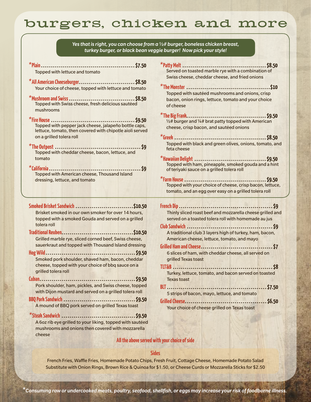# burgers, chicken and more

|                                                                                                                                                                                                                                                                                                                                                                                                                                                                                                                                                                                                                                                                                                       | Yes that is right, you can choose from $a \frac{1}{2}\#$ burger, boneless chicken breast,<br>turkey burger, or black bean veggie burger! Now pick your style!                                                                                                                                                                                                                                                                                                                                                                                                                                                                                        |
|-------------------------------------------------------------------------------------------------------------------------------------------------------------------------------------------------------------------------------------------------------------------------------------------------------------------------------------------------------------------------------------------------------------------------------------------------------------------------------------------------------------------------------------------------------------------------------------------------------------------------------------------------------------------------------------------------------|------------------------------------------------------------------------------------------------------------------------------------------------------------------------------------------------------------------------------------------------------------------------------------------------------------------------------------------------------------------------------------------------------------------------------------------------------------------------------------------------------------------------------------------------------------------------------------------------------------------------------------------------------|
| Topped with lettuce and tomato<br>Your choice of cheese, topped with lettuce and tomato<br>Topped with Swiss cheese, fresh delicious sautéed<br>mushrooms<br>Topped with pepper jack cheese, jalapeño bottle caps,<br>lettuce, tomato, then covered with chipotle aioli served<br>on a grilled tolera roll<br>Topped with cheddar cheese, bacon, lettuce, and<br>tomato<br><b>Topped with American cheese, Thousand Island</b><br>dressing, lettuce, and tomato                                                                                                                                                                                                                                       | Served on toasted marble rye with a combination of<br>Swiss cheese, cheddar cheese, and fried onions<br>Topped with sautéed mushrooms and onions, crisp<br>bacon, onion rings, lettuce, tomato and your choice<br>of cheese<br>$\frac{1}{2}$ burger and $\frac{1}{4}$ brat patty topped with American<br>cheese, crisp bacon, and sautéed onions<br>Topped with black and green olives, onions, tomato, and<br>feta cheese<br>Topped with ham, pineapple, smoked gouda and a hint<br>of teriyaki sauce on a grilled tolera roll<br>Topped with your choice of cheese, crisp bacon, lettuce,<br>tomato, and an egg over easy on a grilled tolera roll |
| Smoked Brisket Sandwich \$10.50<br>Brisket smoked in our own smoker for over 14 hours,<br>topped with a smoked Gouda and served on a grilled<br>tolera roll<br>Grilled marble rye, sliced corned beef, Swiss cheese,<br>sauerkraut and topped with Thousand Island dressing<br>Smoked pork shoulder, shaved ham, bacon, cheddar<br>cheese, topped with your choice of bbq sauce on a<br>grilled tolera roll<br>Pork shoulder, ham, pickles, and Swiss cheese, topped<br>with Dijon mustard and served on a grilled tolera roll<br>A mound of BBQ pork served on grilled Texas toast<br>A 6oz rib eye grilled to your liking, topped with sautéed<br>mushrooms and onions then covered with mozzarella | Thinly sliced roast beef and mozzarella cheese grilled and<br>served on a toasted tolera roll with homemade au jus<br>A traditional club 3 layers high of turkey, ham, bacon,<br>American cheese, lettuce, tomato, and mayo<br>6 slices of ham, with cheddar cheese, all served on<br>grilled Texas toast<br>Turkey, lettuce, tomato, and bacon served on toasted<br><b>Texas toast</b><br>5 strips of bacon, mayo, lettuce, and tomato<br>Your choice of cheese grilled on Texas toast                                                                                                                                                              |

### **All the above served with your choice of side**

cheese

#### **Sides**

French Fries, Waffle Fries, Homemade Potato Chips, Fresh Fruit, Cottage Cheese, Homemade Potato Salad Substitute with Onion Rings, Brown Rice & Quinoa for \$1.50, or Cheese Curds or Mozzarella Sticks for \$2.50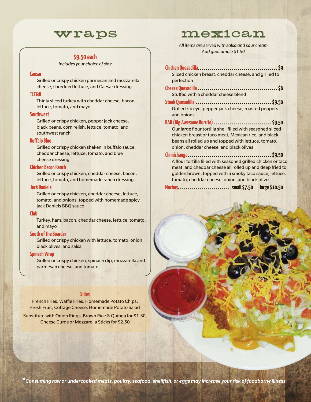### wraps

#### **\$9.50 each**

*Includes your choice of side*

#### **Caesar**

Grilled or crispy chicken parmesan and mozzarella cheese, shredded lettuce, and Caesar dressing

#### **TLT&B**

Thinly sliced turkey with cheddar cheese, bacon, lettuce, tomato, and mayo

#### **Southwest**

Grilled or crispy chicken, pepper jack cheese, black beans, corn relish, lettuce, tomato, and southwest ranch

#### **Buffalo Blue**

Grilled or crispy chicken shaken in buffalo sauce, cheddar cheese, lettuce, tomato, and blue cheese dressing

#### **Chicken Bacon Ranch**

Grilled or crispy chicken, cheddar cheese, bacon, lettuce, tomato, and homemade ranch dressing

#### **Jack Daniels**

Grilled or crispy chicken, cheddar cheese, lettuce, tomato, and onions, topped with homemade spicy Jack Daniels BBQ sauce

#### **Club**

Turkey, ham, bacon, cheddar cheese, lettuce, tomato, and mayo

#### **South of the Boarder**

Grilled or crispy chicken with lettuce, tomato, onion, black olives, and salsa

#### **Spinach Wrap**

Grilled or crispy chicken, spinach dip, mozzarella and parmesan cheese, and tomato

#### **Sides**

French Fries, Waffle Fries, Homemade Potato Chips, Fresh Fruit, Cottage Cheese, Homemade Potato Salad

Substitute with Onion Rings, Brown Rice & Quinoa for \$1.50, Cheese Curds or Mozzarella Sticks for \$2.50

### mexican

*All items are served with salsa and sour cream Add guacamole \$1.50*

| Sliced chicken breast, cheddar cheese, and grilled to                                                                                                                                                                          |
|--------------------------------------------------------------------------------------------------------------------------------------------------------------------------------------------------------------------------------|
| perfection                                                                                                                                                                                                                     |
|                                                                                                                                                                                                                                |
| Stuffed with a cheddar cheese blend                                                                                                                                                                                            |
|                                                                                                                                                                                                                                |
| Grilled rib eye, pepper jack cheese, roasted peppers                                                                                                                                                                           |
| and onions                                                                                                                                                                                                                     |
| BAB (Big Awesome Burrito)  \$9.50                                                                                                                                                                                              |
| Our large flour tortilla shell filled with seasoned sliced                                                                                                                                                                     |
| chicken breast or taco meat, Mexican rice, and black                                                                                                                                                                           |
| beans all rolled up and topped with lettuce, tomato,                                                                                                                                                                           |
| onion, cheddar cheese, and black olives                                                                                                                                                                                        |
|                                                                                                                                                                                                                                |
| A flour tortilla filled with seasoned grilled chicken or taco                                                                                                                                                                  |
| meat, and cheddar cheese all rolled up and deep fried to                                                                                                                                                                       |
| golden brown, topped with a smoky taco sauce, lettuce,                                                                                                                                                                         |
| tomato, cheddar cheese, onion, and black olives                                                                                                                                                                                |
| and the contract of the contract of the contract of the contract of the contract of the contract of the contract of the contract of the contract of the contract of the contract of the contract of the contract of the contra |

**Nachos . . small \$7.50 large \$10.50**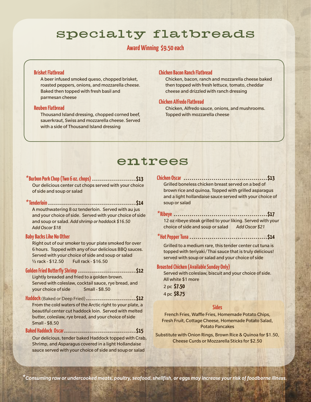# specialty flatbreads

### **Award Winning \$9.50 each**

#### **Brisket Flatbread**

A beer infused smoked queso, chopped brisket, roasted peppers, onions, and mozzarella cheese. Baked then topped with fresh basil and parmesan cheese

#### **Reuben Flatbread**

Thousand Island dressing, chopped corned beef, sauerkraut, Swiss and mozzarella cheese. Served with a side of Thousand Island dressing

#### **Chicken Bacon Ranch Flatbread**

Chicken, bacon, ranch and mozzarella cheese baked then topped with fresh lettuce, tomato, cheddar cheese and drizzled with ranch dressing

#### **Chicken Alfredo Flatbread**

Chicken, Alfredo sauce, onions, and mushrooms. Topped with mozzarella cheese

## entrees

## *\****Burbon Pork Chop (Two 6 oz. chops) . . . . . . . . . . . . . . . . . . . . . .\$13 Chicken Oscar . . . . . . . . . . . . . . . . . . . . . . . . . . . . . . . . . . . . . . . . . .\$13**

Our delicious center cut chops served with your choice of side and soup or salad brown rice and quinoa. Topped with grilled asparagus

#### *\****Tenderloin . . . . . . . . . . . . . . . . . . . . . . . . . . . . . . . . . . . . . . . . . . . .\$14** soup or salad

A mouthwatering 8 oz tenderloin. Served with au jus and your choice of side. Served with your choice of side and soup or salad. *Add shrimp or haddock \$16.50* 12 oz ribeye steak grilled to your liking. Served with your *Add Oscar \$18* choice of side and soup or salad *Add Oscar \$21*

Right out of our smoker to your plate smoked for over Grilled to a medium rare, this tender center cut tuna is<br>6 hours. Topped with any of our delicious BBO sauces. Served with your choice of side and soup or salad served with soup or salad and your choice of side ½ rack - \$12.50 Full rack - \$16.50

## **Broasted Chicken (Available Sunday Only) Golden Fried Butterfly Shrimp . . . . . . . . . . . . . . . . . . . . . . . . . . . . .\$12** Served with coleslaw, biscuit and your choice of side.

Lightly breaded and fried to a golden brown.<br>All white \$1 more your choice of side Small - \$8.50 Served with coleslaw, cocktail sauce, rye bread, and

**Haddock** (Baked or Deep Fried) **. . . . . . . . . . . . . . . . . . . . . . . . .\$12** From the cold waters of the Arctic right to your plate, a<br>
beautiful center cut haddock loin. Served with melted<br>
French Fries, Waffle Fries, Homemade Potato Chips, butter, coleslaw, rye bread, and your choice of side

Potato Pancakes **Baked Haddock Oscar. . . . . . . . . . . . . . . . . . . . . . . . . . . . . . . . . . . .\$15**

Substitute with Onion Rings, Brown Rice & Quinoa for \$1.50, Our delicious, tender baked Haddock topped with Crab, Cheese Curds or Mozzarella Sticks for \$2.50 Shrimp, and Asparagus covered in a light Hollandaise sauce served with your choice of side and soup or salad

and a light hollandaise sauce served with your choice of

#### *\****Ribeye . . . . . . . . . . . . . . . . . . . . . . . . . . . . . . . . . . . . . . . . . . . . . . .\$17**

#### **Baby Backs Like No Other** *\****Hot Pepper Tuna . . . . . . . . . . . . . . . . . . . . . . . . . . . . . . . . . . . . . . .\$14**

6 hours. Topped with any of our delicious BBQ sauces.<br>Served with your choice of side and soup or salad sauce that is truly delicious!

2 pc **\$7.50** 4 pc **\$8.75**

Batter, editerative Presh Fruit, Cottage Cheese, Homemade Potato Salad,<br>Small - \$8.50 Fresh Fruit, Cottage Cheese, Homemade Potato Salad,

*\*Consuming raw or undercooked meats, poultry, seafood, shellfish, or eggs may increase your risk of foodborne illness.*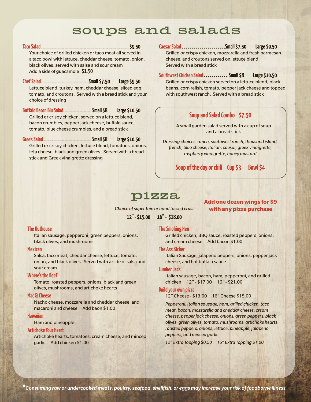# soups and salads

**Taco Salad . . \$9.50** Your choice of grilled chicken or taco meat all served in a taco bowl with lettuce, cheddar cheese, tomato, onion, black olives, served with salsa and sour cream Add a side of guacamole \$1.50

**Chef Salad . Small \$7.50 Large \$9.50** Lettuce blend, turkey, ham, cheddar cheese, sliced egg, tomato, and croutons. Served with a bread stick and your choice of dressing

**Buffalo Bacon Blu Salad . . Small \$8 Large \$10.50** Grilled or crispy chicken, served on a lettuce blend, bacon crumbles, pepper jack cheese, buffalo sauce, tomato, blue cheese crumbles, and a bread stick

**Greek Salad . . Small \$8 Large \$10.50** Grilled or crispy chicken, lettuce blend, tomatoes, onions, feta cheese, black and green olives. Served with a bread stick and Greek vinaigrette dressing

#### **Caesar Salad . . . . . . . . . . . . . . . . . . . . . .Small \$7.50 Large \$9.50**

Grilled or crispy chicken, mozzarella and fresh parmesan cheese, and croutons served on lettuce blend. Served with a bread stick

#### **Southwest Chicken Salad . . . . . . . . . . . . Small \$8 Large \$10.50**

Grilled or crispy chicken served on a lettuce blend, black beans, corn relish, tomato, pepper jack cheese and topped with southwest ranch. Served with a bread stick

### **Soup and Salad Combo \$7.50**

A small garden salad served with a cup of soup and a bread stick

*Dressing choices: ranch, southwest ranch, thousand island, french, blue cheese, italian, caesar, greek vinaigrette, raspberry vinaigrette, honey mustard*

**Soup of the day or chili Cup \$3 Bowl \$4**

## pizza

*Choice of super thin or hand tossed crust*

**12" - \$15.00 16" - \$18.00**

#### **Add one dozen wings for \$9 with any pizza purchase**

#### **The Outhouse**

Italian sausage, pepperoni, green peppers, onions, black olives, and mushrooms

#### **Mexican**

Salsa, taco meat, cheddar cheese, lettuce, tomato, onion, and black olives. Served with a side of salsa and sour cream

#### **Where's the Beef**

Tomato, roasted peppers, onions, black and green olives, mushrooms, and artichoke hearts

#### **Mac & Cheese**

Nacho cheese, mozzarella and cheddar cheese, and macaroni and cheese Add baon \$1.00

#### **Hawaiian**

Ham and pineapple

#### **Artichoke Your Heart**

Artichoke hearts, tomatoes, cream cheese, and minced garlic Add chicken \$1.00

#### **The Smoking Hen**

Grilled chicken, BBQ sauce, roasted peppers, onions, and cream cheese Add bacon \$1.00

#### **The Ass Kicker**

Italian Sausage, jalapeno peppers, onions, pepper jack cheese, and hot buffalo sauce

#### **Lumber Jack**

Italian sausage, bacon, ham, pepperoni, and grilled chicken 12" - \$17.00 16" - \$21.00

#### **Build your own pizza**

12" Cheese - \$13.00 16" Cheese \$15.00

*Pepperoni, Italian sausage, ham, grilled chicken, taco meat, bacon, mozzarella and cheddar cheese, cream cheese, pepper jack cheese, onions, green peppers, black olives, green olives, tomato, mushrooms, artichoke hearts, roasted peppers, onions, lettuce, pineapple, jalapeno peppers, and minced garlic*

*12" Extra Topping \$0.50 16" Extra Topping \$1.00*